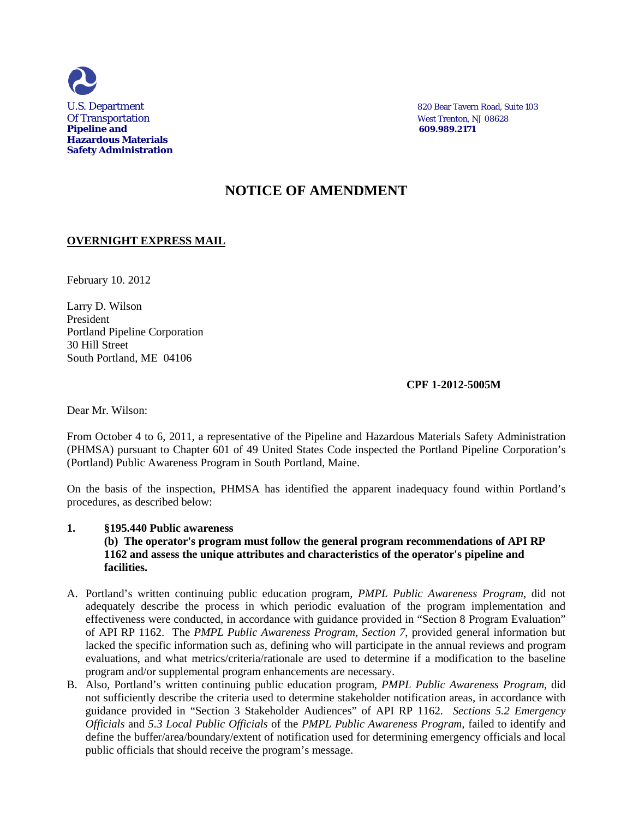

U.S. Department 820 Bear Tavern Road, Suite 103

# **NOTICE OF AMENDMENT**

### **OVERNIGHT EXPRESS MAIL**

February 10. 2012

Larry D. Wilson President Portland Pipeline Corporation 30 Hill Street South Portland, ME 04106

## **CPF 1-2012-5005M**

Dear Mr. Wilson:

From October 4 to 6, 2011, a representative of the Pipeline and Hazardous Materials Safety Administration (PHMSA) pursuant to Chapter 601 of 49 United States Code inspected the Portland Pipeline Corporation's (Portland) Public Awareness Program in South Portland, Maine.

On the basis of the inspection, PHMSA has identified the apparent inadequacy found within Portland's procedures, as described below:

### **1. §195.440 Public awareness**

**(b) The operator's program must follow the general program recommendations of API RP 1162 and assess the unique attributes and characteristics of the operator's pipeline and facilities.**

- A. Portland's written continuing public education program, *PMPL Public Awareness Program,* did not adequately describe the process in which periodic evaluation of the program implementation and effectiveness were conducted, in accordance with guidance provided in "Section 8 Program Evaluation" of API RP 1162. The *PMPL Public Awareness Program, Section 7*, provided general information but lacked the specific information such as, defining who will participate in the annual reviews and program evaluations, and what metrics/criteria/rationale are used to determine if a modification to the baseline program and/or supplemental program enhancements are necessary.
- B. Also, Portland's written continuing public education program, *PMPL Public Awareness Program,* did not sufficiently describe the criteria used to determine stakeholder notification areas, in accordance with guidance provided in "Section 3 Stakeholder Audiences" of API RP 1162. *Sections 5.2 Emergency Officials* and *5.3 Local Public Officials* of the *PMPL Public Awareness Program,* failed to identify and define the buffer/area/boundary/extent of notification used for determining emergency officials and local public officials that should receive the program's message.